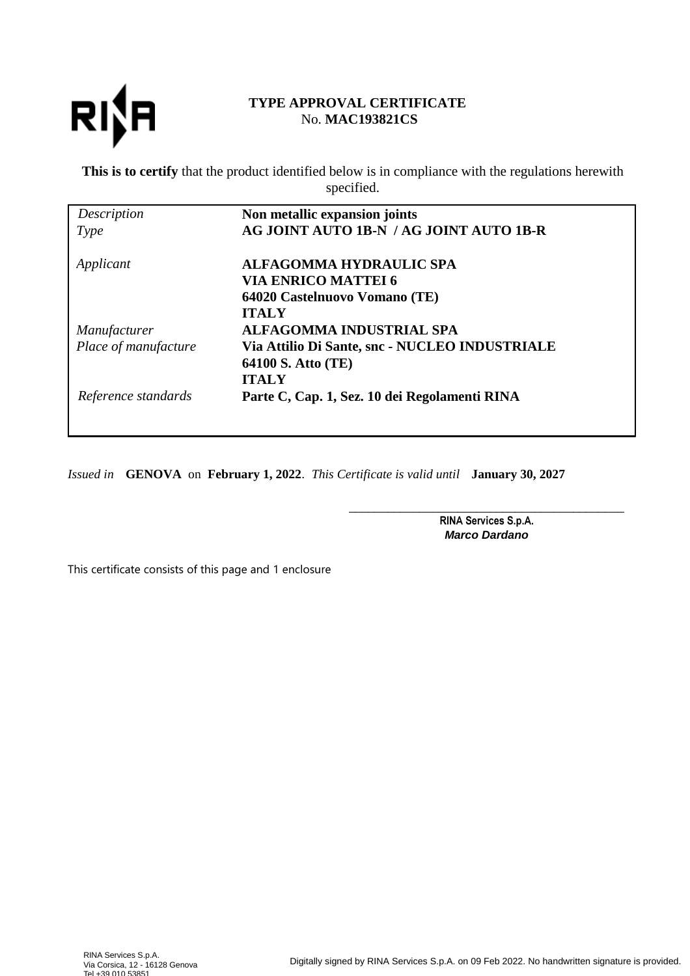

# **TYPE APPROVAL CERTIFICATE** No. **MAC193821CS**

**This is to certify** that the product identified below is in compliance with the regulations herewith specified.

| Description          | Non metallic expansion joints                  |
|----------------------|------------------------------------------------|
| Type                 | AG JOINT AUTO 1B-N / AG JOINT AUTO 1B-R        |
| Applicant            | <b>ALFAGOMMA HYDRAULIC SPA</b>                 |
|                      | <b>VIA ENRICO MATTEI 6</b>                     |
|                      | 64020 Castelnuovo Vomano (TE)                  |
|                      | <b>ITALY</b>                                   |
| Manufacturer         | ALFAGOMMA INDUSTRIAL SPA                       |
| Place of manufacture | Via Attilio Di Sante, snc - NUCLEO INDUSTRIALE |
|                      | 64100 S. Atto (TE)                             |
|                      | <b>ITALY</b>                                   |
| Reference standards  | Parte C, Cap. 1, Sez. 10 dei Regolamenti RINA  |

*Issued in* **GENOVA** on **February 1, 2022**. *This Certificate is valid until* **January 30, 2027**

\_\_\_\_\_\_\_\_\_\_\_\_\_\_\_\_\_\_\_\_\_\_\_\_\_\_\_\_\_\_\_\_\_\_\_\_\_\_\_\_\_\_\_ RINA Services S.p.A. **Marco Dardano**

This certificate consists of this page and 1 enclosure